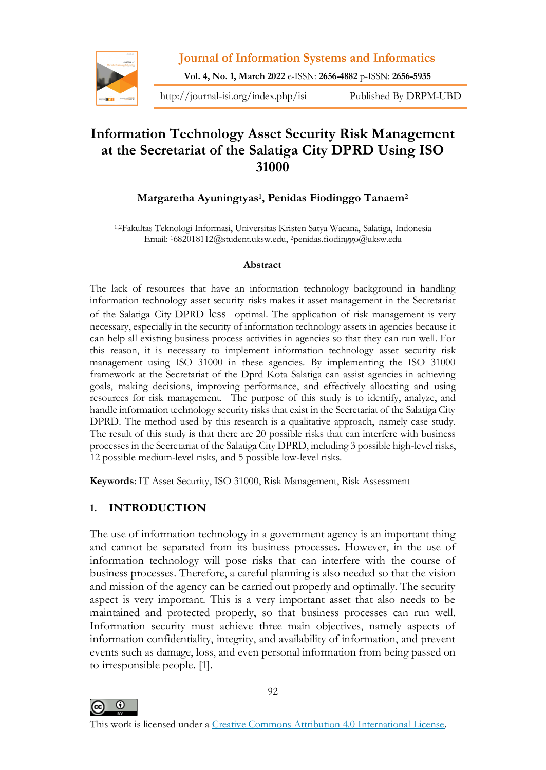

**Vol. 4, No. 1, March 2022** e-ISSN: **2656-4882** p-ISSN: **2656-5935**

http://journal-isi.org/index.php/isi Published By DRPM-UBD

# **Information Technology Asset Security Risk Management at the Secretariat of the Salatiga City DPRD Using ISO 31000**

# **Margaretha Ayuningtyas<sup>1</sup> , Penidas Fiodinggo Tanaem<sup>2</sup>**

1,2Fakultas Teknologi Informasi, Universitas Kristen Satya Wacana, Salatiga, Indonesia Email: 1682018112@student.uksw.edu, 2penidas.fiodinggo@uksw.edu

#### **Abstract**

The lack of resources that have an information technology background in handling information technology asset security risks makes it asset management in the Secretariat of the Salatiga City DPRD less optimal. The application of risk management is very necessary, especially in the security of information technology assets in agencies because it can help all existing business process activities in agencies so that they can run well. For this reason, it is necessary to implement information technology asset security risk management using ISO 31000 in these agencies. By implementing the ISO 31000 framework at the Secretariat of the Dprd Kota Salatiga can assist agencies in achieving goals, making decisions, improving performance, and effectively allocating and using resources for risk management. The purpose of this study is to identify, analyze, and handle information technology security risks that exist in the Secretariat of the Salatiga City DPRD. The method used by this research is a qualitative approach, namely case study. The result of this study is that there are 20 possible risks that can interfere with business processes in the Secretariat of the Salatiga City DPRD, including 3 possible high-level risks, 12 possible medium-level risks, and 5 possible low-level risks.

**Keywords**: IT Asset Security, ISO 31000, Risk Management, Risk Assessment

# **1. INTRODUCTION**

The use of information technology in a government agency is an important thing and cannot be separated from its business processes. However, in the use of information technology will pose risks that can interfere with the course of business processes. Therefore, a careful planning is also needed so that the vision and mission of the agency can be carried out properly and optimally. The security aspect is very important. This is a very important asset that also needs to be maintained and protected properly, so that business processes can run well. Information security must achieve three main objectives, namely aspects of information confidentiality, integrity, and availability of information, and prevent events such as damage, loss, and even personal information from being passed on to irresponsible people. [1].

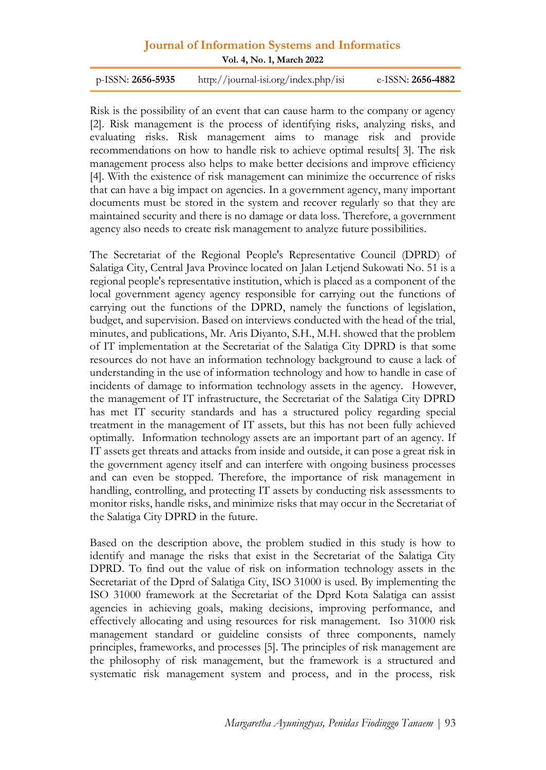**Vol. 4, No. 1, March 2022**

p-ISSN: **2656-5935** http://journal-isi.org/index.php/isi e-ISSN: **2656-4882**

Risk is the possibility of an event that can cause harm to the company or agency [2]. Risk management is the process of identifying risks, analyzing risks, and evaluating risks. Risk management aims to manage risk and provide recommendations on how to handle risk to achieve optimal results[ 3]. The risk management process also helps to make better decisions and improve efficiency [4]. With the existence of risk management can minimize the occurrence of risks that can have a big impact on agencies. In a government agency, many important documents must be stored in the system and recover regularly so that they are maintained security and there is no damage or data loss. Therefore, a government agency also needs to create risk management to analyze future possibilities.

The Secretariat of the Regional People's Representative Council (DPRD) of Salatiga City, Central Java Province located on Jalan Letjend Sukowati No. 51 is a regional people's representative institution, which is placed as a component of the local government agency agency responsible for carrying out the functions of carrying out the functions of the DPRD, namely the functions of legislation, budget, and supervision. Based on interviews conducted with the head of the trial, minutes, and publications, Mr. Aris Diyanto, S.H., M.H. showed that the problem of IT implementation at the Secretariat of the Salatiga City DPRD is that some resources do not have an information technology background to cause a lack of understanding in the use of information technology and how to handle in case of incidents of damage to information technology assets in the agency. However, the management of IT infrastructure, the Secretariat of the Salatiga City DPRD has met IT security standards and has a structured policy regarding special treatment in the management of IT assets, but this has not been fully achieved optimally. Information technology assets are an important part of an agency. If IT assets get threats and attacks from inside and outside, it can pose a great risk in the government agency itself and can interfere with ongoing business processes and can even be stopped. Therefore, the importance of risk management in handling, controlling, and protecting IT assets by conducting risk assessments to monitor risks, handle risks, and minimize risks that may occur in the Secretariat of the Salatiga City DPRD in the future.

Based on the description above, the problem studied in this study is how to identify and manage the risks that exist in the Secretariat of the Salatiga City DPRD. To find out the value of risk on information technology assets in the Secretariat of the Dprd of Salatiga City, ISO 31000 is used. By implementing the ISO 31000 framework at the Secretariat of the Dprd Kota Salatiga can assist agencies in achieving goals, making decisions, improving performance, and effectively allocating and using resources for risk management. Iso 31000 risk management standard or guideline consists of three components, namely principles, frameworks, and processes [5]. The principles of risk management are the philosophy of risk management, but the framework is a structured and systematic risk management system and process, and in the process, risk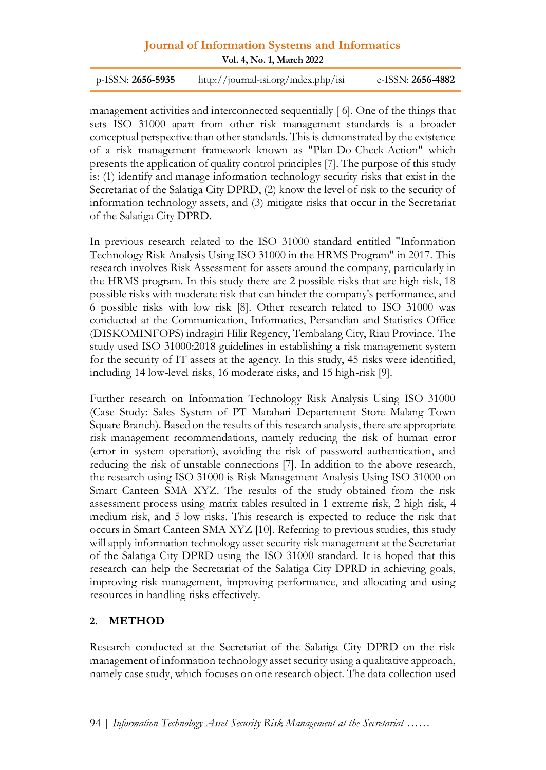**Vol. 4, No. 1, March 2022**

p-ISSN: **2656-5935** http://journal-isi.org/index.php/isi e-ISSN: **2656-4882**

management activities and interconnected sequentially [ 6]. One of the things that sets ISO 31000 apart from other risk management standards is a broader conceptual perspective than other standards. This is demonstrated by the existence of a risk management framework known as "Plan-Do-Check-Action" which presents the application of quality control principles [7]. The purpose of this study is: (1) identify and manage information technology security risks that exist in the Secretariat of the Salatiga City DPRD, (2) know the level of risk to the security of information technology assets, and (3) mitigate risks that occur in the Secretariat of the Salatiga City DPRD.

In previous research related to the ISO 31000 standard entitled "Information Technology Risk Analysis Using ISO 31000 in the HRMS Program" in 2017. This research involves Risk Assessment for assets around the company, particularly in the HRMS program. In this study there are 2 possible risks that are high risk, 18 possible risks with moderate risk that can hinder the company's performance, and 6 possible risks with low risk [8]. Other research related to ISO 31000 was conducted at the Communication, Informatics, Persandian and Statistics Office (DISKOMINFOPS) indragiri Hilir Regency, Tembalang City, Riau Province. The study used ISO 31000:2018 guidelines in establishing a risk management system for the security of IT assets at the agency. In this study, 45 risks were identified, including 14 low-level risks, 16 moderate risks, and 15 high-risk [9].

Further research on Information Technology Risk Analysis Using ISO 31000 (Case Study: Sales System of PT Matahari Departement Store Malang Town Square Branch). Based on the results of this research analysis, there are appropriate risk management recommendations, namely reducing the risk of human error (error in system operation), avoiding the risk of password authentication, and reducing the risk of unstable connections [7]. In addition to the above research, the research using ISO 31000 is Risk Management Analysis Using ISO 31000 on Smart Canteen SMA XYZ. The results of the study obtained from the risk assessment process using matrix tables resulted in 1 extreme risk, 2 high risk, 4 medium risk, and 5 low risks. This research is expected to reduce the risk that occurs in Smart Canteen SMA XYZ [10]. Referring to previous studies, this study will apply information technology asset security risk management at the Secretariat of the Salatiga City DPRD using the ISO 31000 standard. It is hoped that this research can help the Secretariat of the Salatiga City DPRD in achieving goals, improving risk management, improving performance, and allocating and using resources in handling risks effectively.

# **2. METHOD**

Research conducted at the Secretariat of the Salatiga City DPRD on the risk management of information technology asset security using a qualitative approach, namely case study, which focuses on one research object. The data collection used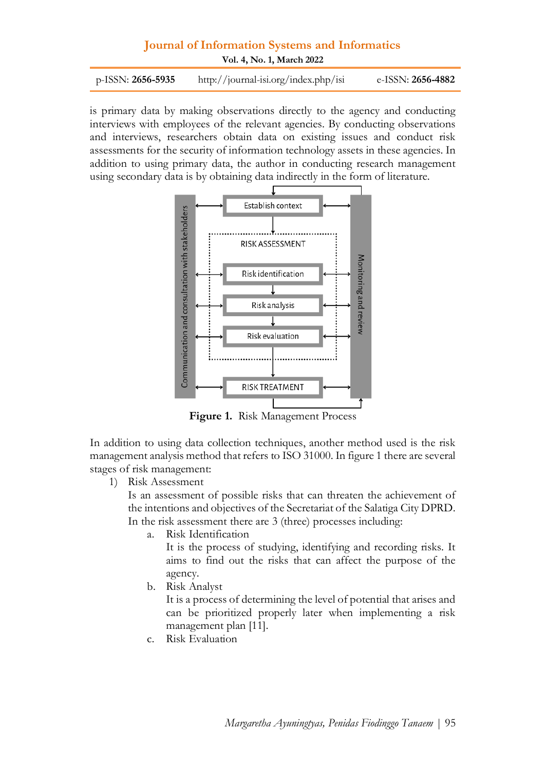**Vol. 4, No. 1, March 2022**

p-ISSN: **2656-5935** http://journal-isi.org/index.php/isi e-ISSN: **2656-4882**

is primary data by making observations directly to the agency and conducting interviews with employees of the relevant agencies. By conducting observations and interviews, researchers obtain data on existing issues and conduct risk assessments for the security of information technology assets in these agencies. In addition to using primary data, the author in conducting research management using secondary data is by obtaining data indirectly in the form of literature.



**Figure 1.** Risk Management Process

In addition to using data collection techniques, another method used is the risk management analysis method that refers to ISO 31000. In figure 1 there are several stages of risk management:

1) Risk Assessment

Is an assessment of possible risks that can threaten the achievement of the intentions and objectives of the Secretariat of the Salatiga City DPRD. In the risk assessment there are 3 (three) processes including:

a. Risk Identification

It is the process of studying, identifying and recording risks. It aims to find out the risks that can affect the purpose of the agency.

b. Risk Analyst

It is a process of determining the level of potential that arises and can be prioritized properly later when implementing a risk management plan [11].

c. Risk Evaluation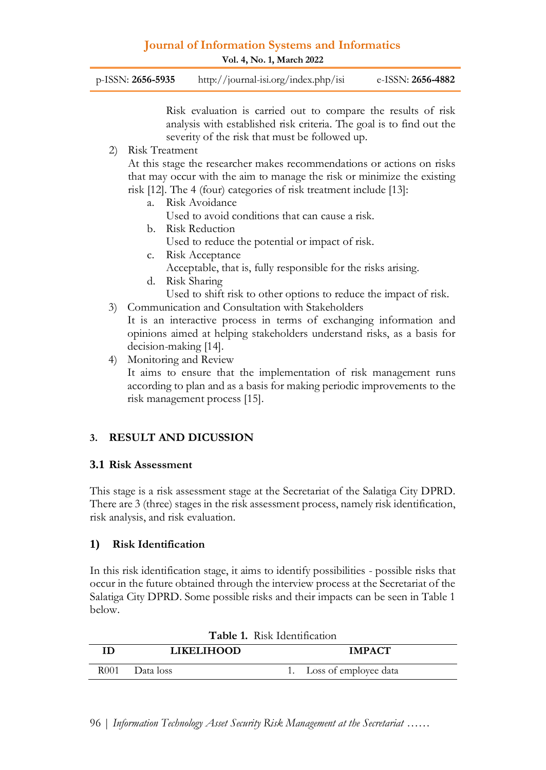**Vol. 4, No. 1, March 2022**

| $p$ -ISSN: 2656-5935 | http://journal-isi.org/index.php/isi | e-ISSN: <b>2656-4882</b> |
|----------------------|--------------------------------------|--------------------------|
|                      |                                      |                          |

Risk evaluation is carried out to compare the results of risk analysis with established risk criteria. The goal is to find out the severity of the risk that must be followed up.

2) Risk Treatment

At this stage the researcher makes recommendations or actions on risks that may occur with the aim to manage the risk or minimize the existing risk [12]. The 4 (four) categories of risk treatment include [13]:

- a. Risk Avoidance
	- Used to avoid conditions that can cause a risk.
- b. Risk Reduction Used to reduce the potential or impact of risk.
- c. Risk Acceptance
	- Acceptable, that is, fully responsible for the risks arising.
- d. Risk Sharing

Used to shift risk to other options to reduce the impact of risk.

3) Communication and Consultation with Stakeholders

It is an interactive process in terms of exchanging information and opinions aimed at helping stakeholders understand risks, as a basis for decision-making [14].

4) Monitoring and Review

It aims to ensure that the implementation of risk management runs according to plan and as a basis for making periodic improvements to the risk management process [15].

# **3. RESULT AND DICUSSION**

### **3.1 Risk Assessment**

This stage is a risk assessment stage at the Secretariat of the Salatiga City DPRD. There are 3 (three) stages in the risk assessment process, namely risk identification, risk analysis, and risk evaluation.

# **1) Risk Identification**

In this risk identification stage, it aims to identify possibilities - possible risks that occur in the future obtained through the interview process at the Secretariat of the Salatiga City DPRD. Some possible risks and their impacts can be seen in Table 1 below.

| <b>Table 1. KISK REPRIMEDION</b> |                   |                          |  |  |  |  |  |
|----------------------------------|-------------------|--------------------------|--|--|--|--|--|
| ΙŊ                               | <b>LIKELIHOOD</b> | <b>IMPACT</b>            |  |  |  |  |  |
| R001.                            | - Data loss       | 1. Loss of employee data |  |  |  |  |  |

| Table 1. Risk Identification |  |  |
|------------------------------|--|--|
|------------------------------|--|--|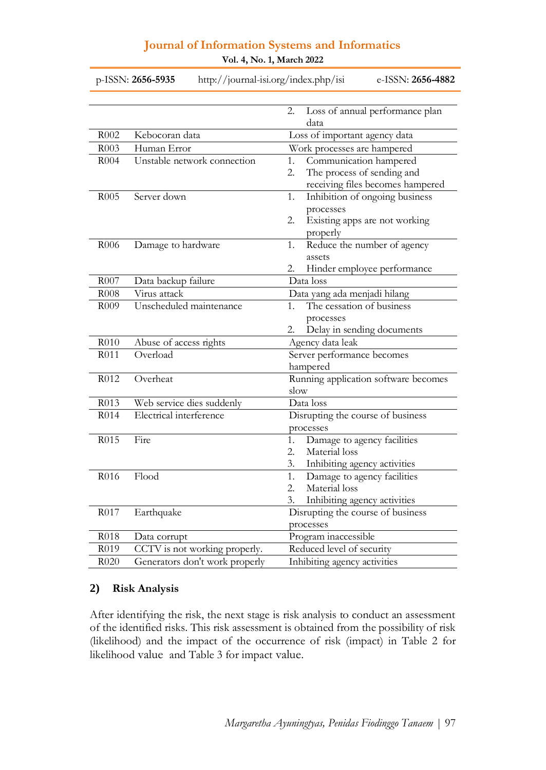|                  | p-ISSN: 2656-5935<br>http://journal-isi.org/index.php/isi | e-ISSN: 2656-4882                             |
|------------------|-----------------------------------------------------------|-----------------------------------------------|
|                  |                                                           | Loss of annual performance plan<br>2.<br>data |
| R002             | Kebocoran data                                            | Loss of important agency data                 |
| R003             | Human Error                                               | Work processes are hampered                   |
| R004             | Unstable network connection                               | Communication hampered<br>1.                  |
|                  |                                                           | The process of sending and<br>2.              |
|                  |                                                           | receiving files becomes hampered              |
| R <sub>005</sub> | Server down                                               | Inhibition of ongoing business<br>1.          |
|                  |                                                           | processes                                     |
|                  |                                                           | Existing apps are not working<br>2.           |
|                  |                                                           | properly                                      |
| R006             | Damage to hardware                                        | Reduce the number of agency<br>1.             |
|                  |                                                           | assets                                        |
|                  |                                                           | Hinder employee performance<br>2.             |
| R007             | Data backup failure                                       | Data loss                                     |
| R008             | Virus attack                                              | Data yang ada menjadi hilang                  |
| R009             | Unscheduled maintenance                                   | The cessation of business<br>$1_{-}$          |
|                  |                                                           | processes                                     |
|                  |                                                           | Delay in sending documents<br>2.              |
| R010             | Abuse of access rights                                    | Agency data leak                              |
| R011             | Overload                                                  | Server performance becomes                    |
|                  |                                                           | hampered                                      |
| R012             | Overheat                                                  | Running application software becomes          |
|                  |                                                           | slow                                          |
| R013             | Web service dies suddenly                                 | Data loss                                     |
| R014             | Electrical interference                                   | Disrupting the course of business             |
|                  |                                                           | processes                                     |
| R015             | Fire                                                      | Damage to agency facilities<br>1.             |
|                  |                                                           | Material loss<br>2.                           |
|                  |                                                           | Inhibiting agency activities<br>3.            |
| R016             | Flood                                                     | Damage to agency facilities<br>1.             |
|                  |                                                           | Material loss<br>2.<br>3.                     |
| R017             |                                                           | Inhibiting agency activities                  |
|                  | Earthquake                                                | Disrupting the course of business             |
| R018             |                                                           | processes<br>Program inaccessible             |
| R019             | Data corrupt<br>CCTV is not working properly.             | Reduced level of security                     |
| R020             |                                                           |                                               |
|                  | Generators don't work properly                            | Inhibiting agency activities                  |

**Vol. 4, No. 1, March 2022**

### **2) Risk Analysis**

After identifying the risk, the next stage is risk analysis to conduct an assessment of the identified risks. This risk assessment is obtained from the possibility of risk (likelihood) and the impact of the occurrence of risk (impact) in Table 2 for likelihood value and Table 3 for impact value.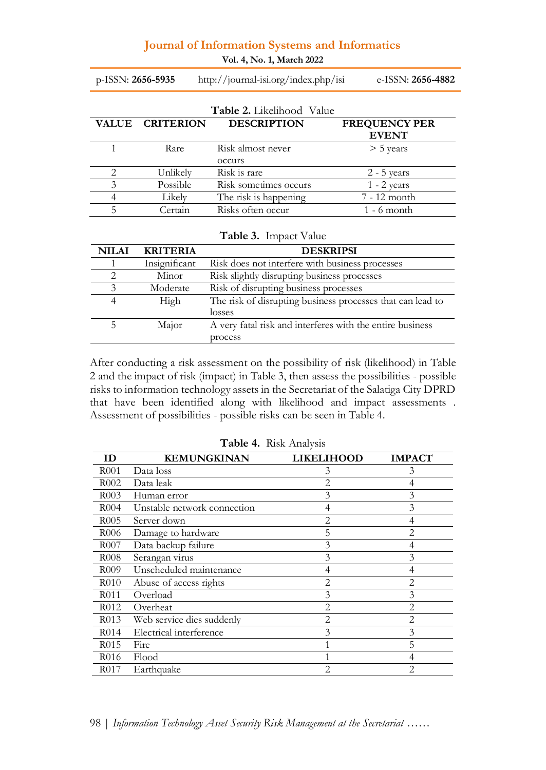**Vol. 4, No. 1, March 2022**

p-ISSN: **2656-5935** http://journal-isi.org/index.php/isi e-ISSN: **2656-4882**

|   | <b>Table 2.</b> Likelihood Value |                       |                      |  |  |  |  |  |
|---|----------------------------------|-----------------------|----------------------|--|--|--|--|--|
|   | <b>VALUE CRITERION</b>           | <b>DESCRIPTION</b>    | <b>FREQUENCY PER</b> |  |  |  |  |  |
|   |                                  |                       | <b>EVENT</b>         |  |  |  |  |  |
|   | Rare                             | Risk almost never     | $>$ 5 years          |  |  |  |  |  |
|   |                                  | occurs                |                      |  |  |  |  |  |
| っ | Unlikely                         | Risk is rare          | $2 - 5$ years        |  |  |  |  |  |
| 3 | Possible                         | Risk sometimes occurs | $1 - 2$ years        |  |  |  |  |  |
|   | Likely                           | The risk is happening | 7 - 12 month         |  |  |  |  |  |
|   | Certain                          | Risks often occur     | $1 - 6$ month        |  |  |  |  |  |

| Table 3. Impact Value |                 |                                                            |  |  |
|-----------------------|-----------------|------------------------------------------------------------|--|--|
| <b>NILAI</b>          | <b>KRITERIA</b> | <b>DESKRIPSI</b>                                           |  |  |
|                       | Insignificant   | Risk does not interfere with business processes            |  |  |
|                       | Minor           | Risk slightly disrupting business processes                |  |  |
| 3                     | Moderate        | Risk of disrupting business processes                      |  |  |
| 4                     | High            | The risk of disrupting business processes that can lead to |  |  |
|                       |                 | losses                                                     |  |  |
| 5                     | Major           | A very fatal risk and interferes with the entire business  |  |  |
|                       |                 | process                                                    |  |  |

After conducting a risk assessment on the possibility of risk (likelihood) in Table 2 and the impact of risk (impact) in Table 3, then assess the possibilities - possible risks to information technology assets in the Secretariat of the Salatiga City DPRD that have been identified along with likelihood and impact assessments . Assessment of possibilities - possible risks can be seen in Table 4.

| ΙD                | <b>KEMUNGKINAN</b>          | LIKELIHOOD     | <b>IMPACT</b>  |
|-------------------|-----------------------------|----------------|----------------|
| R <sub>001</sub>  | Data loss                   | 3              | 3              |
| R002              | Data leak                   | $\overline{2}$ | 4              |
| R <sub>0</sub> 03 | Human error                 | 3              | 3              |
| R <sub>004</sub>  | Unstable network connection | 4              | 3              |
| R <sub>0</sub> 05 | Server down                 | $\overline{2}$ | 4              |
| R <sub>006</sub>  | Damage to hardware          | 5              | $\overline{c}$ |
| R007              | Data backup failure         | 3              |                |
| R008              | Serangan virus              | 3              | 3              |
| R <sub>0</sub> 09 | Unscheduled maintenance     | 4              | 4              |
| R010              | Abuse of access rights      | 2              | 2              |
| R <sub>0</sub> 11 | Overload                    | 3              | 3              |
| R <sub>0</sub> 12 | Overheat                    | 2              | 2              |
| R <sub>0</sub> 13 | Web service dies suddenly   | 2              | 2              |
| R <sub>0</sub> 14 | Electrical interference     | 3              | 3              |
| R <sub>0</sub> 15 | Fire                        |                | 5              |
| R016              | Flood                       |                |                |
| R <sub>0</sub> 17 | Earthquake                  | 2              | 2              |

**Table 4.** Risk Analysis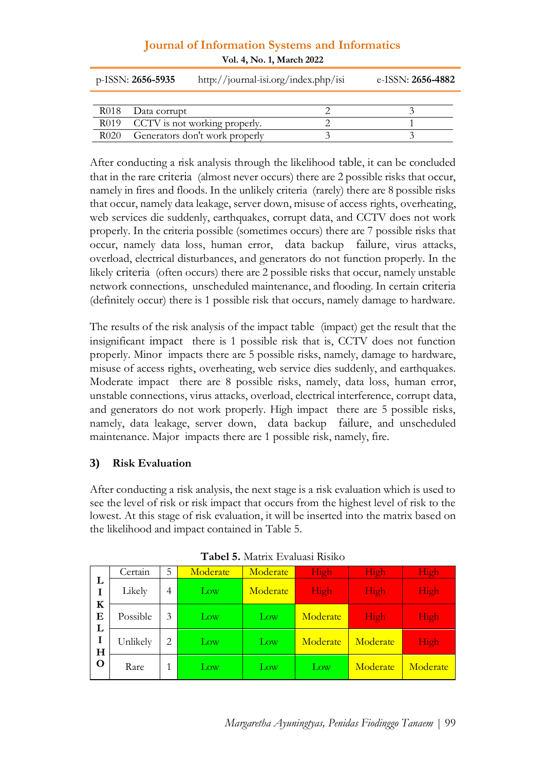#### **Journal of Information Systems and Informatics Vol. 4, No. 1, March 2022**

|      | $p$ -ISSN: 2656-5935<br>http://journal-isi.org/index.php/isi | e-ISSN: 2656-4882 |
|------|--------------------------------------------------------------|-------------------|
| R018 | Data corrupt                                                 |                   |
|      | R019 CCTV is not working properly.                           |                   |
| R020 | Generators don't work properly                               |                   |

After conducting a risk analysis through the likelihood table, it can be concluded that in the rare criteria (almost never occurs) there are 2 possible risks that occur, namely in fires and floods. In the unlikely criteria (rarely) there are 8 possible risks that occur, namely data leakage, server down, misuse of access rights, overheating, web services die suddenly, earthquakes, corrupt data, and CCTV does not work properly. In the criteria possible (sometimes occurs) there are 7 possible risks that occur, namely data loss, human error, data backup failure, virus attacks, overload, electrical disturbances, and generators do not function properly. In the likely criteria (often occurs) there are 2 possible risks that occur, namely unstable network connections, unscheduled maintenance, and flooding. In certain criteria (definitely occur) there is 1 possible risk that occurs, namely damage to hardware.

The results of the risk analysis of the impact table (impact) get the result that the insignificant impact there is 1 possible risk that is, CCTV does not function properly. Minor impacts there are 5 possible risks, namely, damage to hardware, misuse of access rights, overheating, web service dies suddenly, and earthquakes. Moderate impact there are 8 possible risks, namely, data loss, human error, unstable connections, virus attacks, overload, electrical interference, corrupt data, and generators do not work properly. High impact there are 5 possible risks, namely, data leakage, server down, data backup failure, and unscheduled maintenance. Major impacts there are 1 possible risk, namely, fire.

# **3) Risk Evaluation**

After conducting a risk analysis, the next stage is a risk evaluation which is used to see the level of risk or risk impact that occurs from the highest level of risk to the lowest. At this stage of risk evaluation, it will be inserted into the matrix based on the likelihood and impact contained in Table 5.

|        | Certain  | 5              | Moderate        | Moderate | High     | High     | High     |
|--------|----------|----------------|-----------------|----------|----------|----------|----------|
| L<br>K | Likely   | 4              | Low             | Moderate | High     | High     | High     |
| Е<br>L | Possible | 3              | $_{\text{Low}}$ | Low      | Moderate | High     | High     |
| I<br>H | Unlikely | $\overline{2}$ | $_{\text{Low}}$ | Low      | Moderate | Moderate | High     |
| O      | Rare     |                | Low             | Low      | Low      | Moderate | Moderate |

**Tabel 5.** Matrix Evaluasi Risiko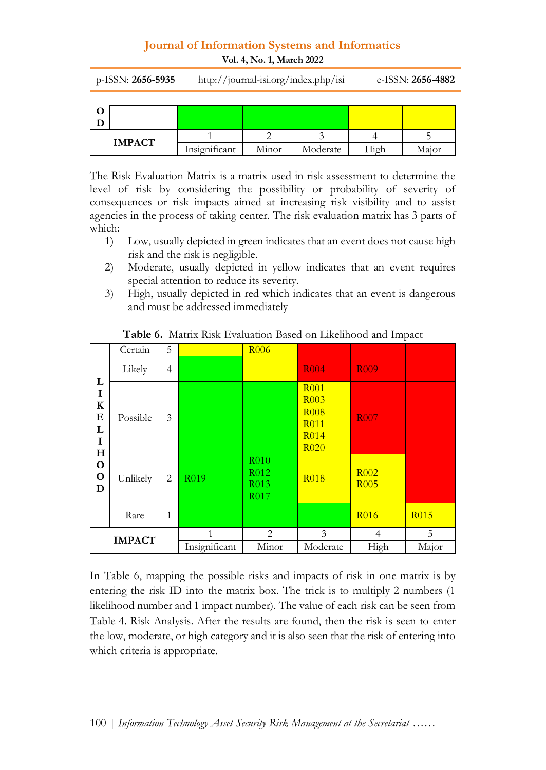**Vol. 4, No. 1, March 2022**

p-ISSN: **2656-5935** http://journal-isi.org/index.php/isi e-ISSN: **2656-4882**

| <b>IMPACT</b> |               |       |          |      |       |
|---------------|---------------|-------|----------|------|-------|
|               | Insignificant | Minor | Moderate | High | Major |

The Risk Evaluation Matrix is a matrix used in risk assessment to determine the level of risk by considering the possibility or probability of severity of consequences or risk impacts aimed at increasing risk visibility and to assist agencies in the process of taking center. The risk evaluation matrix has 3 parts of which:

- 1) Low, usually depicted in green indicates that an event does not cause high risk and the risk is negligible.
- 2) Moderate, usually depicted in yellow indicates that an event requires special attention to reduce its severity.
- 3) High, usually depicted in red which indicates that an event is dangerous and must be addressed immediately

|                                                                          | Certain  | 5              |                | <b>R006</b>                                                      |                                                                                                             |                                 |             |
|--------------------------------------------------------------------------|----------|----------------|----------------|------------------------------------------------------------------|-------------------------------------------------------------------------------------------------------------|---------------------------------|-------------|
|                                                                          | Likely   | $\overline{4}$ |                |                                                                  | <b>R004</b>                                                                                                 | <b>R009</b>                     |             |
| L<br>I<br>$\bf K$<br>Е<br>L<br>I<br>$\mathbf H$<br>$\mathbf O$<br>O<br>D | Possible | 3              |                |                                                                  | <b>R001</b><br>R <sub>003</sub><br><b>R008</b><br>R <sub>011</sub><br>R <sub>0</sub> 14<br>R <sub>020</sub> | <b>R007</b>                     |             |
|                                                                          | Unlikely | 2              | R019           | R <sub>010</sub><br>R <sub>012</sub><br>R <sub>013</sub><br>R017 | <b>R018</b>                                                                                                 | R <sub>002</sub><br><b>R005</b> |             |
|                                                                          | Rare     | 1              |                |                                                                  |                                                                                                             | <b>R016</b>                     | <b>R015</b> |
|                                                                          |          | 1              | $\overline{2}$ | 3                                                                | 4                                                                                                           | 5                               |             |
| <b>IMPACT</b>                                                            |          | Insignificant  | Minor          | Moderate                                                         | High                                                                                                        | Major                           |             |

**Table 6.** Matrix Risk Evaluation Based on Likelihood and Impact

In Table 6, mapping the possible risks and impacts of risk in one matrix is by entering the risk ID into the matrix box. The trick is to multiply 2 numbers (1 likelihood number and 1 impact number). The value of each risk can be seen from Table 4. Risk Analysis. After the results are found, then the risk is seen to enter the low, moderate, or high category and it is also seen that the risk of entering into which criteria is appropriate.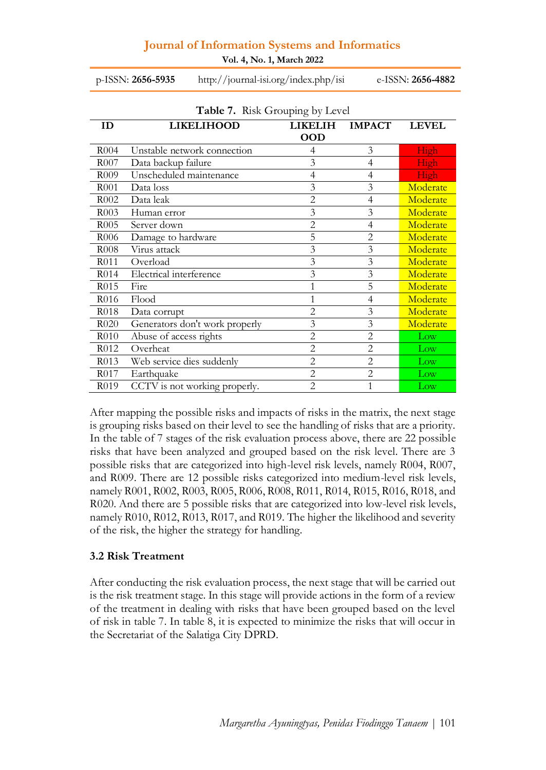**Vol. 4, No. 1, March 2022**

p-ISSN: **2656-5935** http://journal-isi.org/index.php/isi e-ISSN: **2656-4882**

|                   | <b>Table 7.</b> Nisk Grouping by Level |                |                |                 |  |  |  |  |
|-------------------|----------------------------------------|----------------|----------------|-----------------|--|--|--|--|
| ID                | <b>LIKELIHOOD</b>                      | <b>LIKELIH</b> | <b>IMPACT</b>  | <b>LEVEL</b>    |  |  |  |  |
|                   |                                        | <b>OOD</b>     |                |                 |  |  |  |  |
| R004              | Unstable network connection            | 4              | 3              | High            |  |  |  |  |
| R <sub>007</sub>  | Data backup failure                    | 3              | 4              | High            |  |  |  |  |
| R <sub>009</sub>  | Unscheduled maintenance                | 4              | 4              | High            |  |  |  |  |
| R <sub>001</sub>  | Data loss                              | 3              | 3              | Moderate        |  |  |  |  |
| R <sub>0</sub> 02 | Data leak                              | $\overline{2}$ | $\overline{4}$ | Moderate        |  |  |  |  |
| R003              | Human error                            | 3              | 3              | Moderate        |  |  |  |  |
| R <sub>005</sub>  | Server down                            | $\overline{2}$ | $\overline{4}$ | Moderate        |  |  |  |  |
| R <sub>006</sub>  | Damage to hardware                     | 5              | 2              | Moderate        |  |  |  |  |
| R <sub>008</sub>  | Virus attack                           | 3              | 3              | Moderate        |  |  |  |  |
| R011              | Overload                               | 3              | 3              | Moderate        |  |  |  |  |
| R <sub>0</sub> 14 | Electrical interference                | 3              | 3              | Moderate        |  |  |  |  |
| R <sub>0</sub> 15 | Fire                                   |                | 5              | Moderate        |  |  |  |  |
| R <sub>0</sub> 16 | Flood                                  |                | $\overline{4}$ | Moderate        |  |  |  |  |
| R <sub>0</sub> 18 | Data corrupt                           | $\overline{2}$ | 3              | Moderate        |  |  |  |  |
| R <sub>0</sub> 20 | Generators don't work properly         | 3              | 3              | Moderate        |  |  |  |  |
| R010              | Abuse of access rights                 | $\overline{2}$ | $\overline{2}$ | Low             |  |  |  |  |
| R <sub>0</sub> 12 | Overheat                               | $\overline{2}$ | $\overline{2}$ | $_{\text{Low}}$ |  |  |  |  |
| R <sub>0</sub> 13 | Web service dies suddenly              | $\overline{2}$ | $\overline{2}$ | Low             |  |  |  |  |
| R017              | Earthquake                             | $\overline{2}$ | $\overline{2}$ | Low             |  |  |  |  |
| R <sub>0</sub> 19 | CCTV is not working properly.          | $\overline{2}$ |                | $_{\text{Low}}$ |  |  |  |  |

**Table 7.** Risk Grouping by Level

After mapping the possible risks and impacts of risks in the matrix, the next stage is grouping risks based on their level to see the handling of risks that are a priority. In the table of 7 stages of the risk evaluation process above, there are 22 possible risks that have been analyzed and grouped based on the risk level. There are 3 possible risks that are categorized into high-level risk levels, namely R004, R007, and R009. There are 12 possible risks categorized into medium-level risk levels, namely R001, R002, R003, R005, R006, R008, R011, R014, R015, R016, R018, and R020. And there are 5 possible risks that are categorized into low-level risk levels, namely R010, R012, R013, R017, and R019. The higher the likelihood and severity of the risk, the higher the strategy for handling.

#### **3.2 Risk Treatment**

After conducting the risk evaluation process, the next stage that will be carried out is the risk treatment stage. In this stage will provide actions in the form of a review of the treatment in dealing with risks that have been grouped based on the level of risk in table 7. In table 8, it is expected to minimize the risks that will occur in the Secretariat of the Salatiga City DPRD.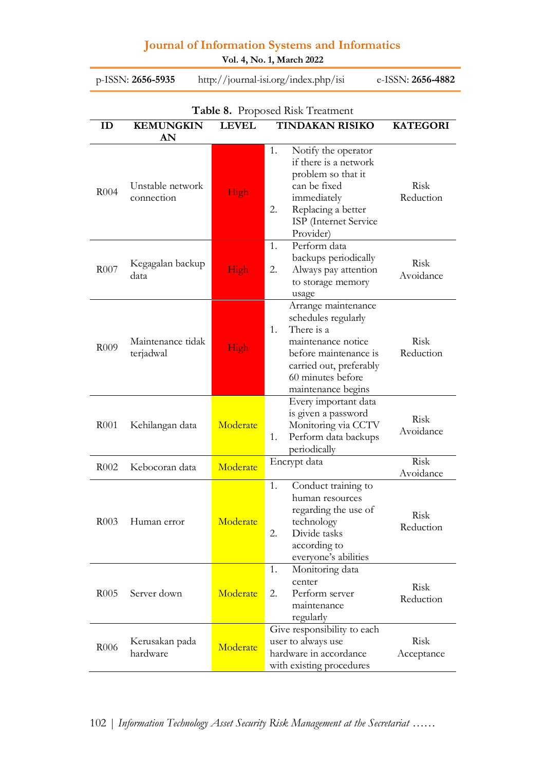**Vol. 4, No. 1, March 2022**

p-ISSN: **2656-5935** http://journal-isi.org/index.php/isi e-ISSN: **2656-4882**

| Table 8. Proposed Risk Treatment |                                |              |                                                                                                                                                                                     |                          |  |  |  |
|----------------------------------|--------------------------------|--------------|-------------------------------------------------------------------------------------------------------------------------------------------------------------------------------------|--------------------------|--|--|--|
| ID                               | <b>KEMUNGKIN</b>               | <b>LEVEL</b> | TINDAKAN RISIKO                                                                                                                                                                     | <b>KATEGORI</b>          |  |  |  |
|                                  | AN                             |              |                                                                                                                                                                                     |                          |  |  |  |
| R <sub>0</sub> 04                | Unstable network<br>connection | High         | 1.<br>Notify the operator<br>if there is a network<br>problem so that it<br>can be fixed<br>immediately<br>Replacing a better<br>2.<br>ISP (Internet Service<br>Provider)           | Risk<br>Reduction        |  |  |  |
| R007                             | Kegagalan backup<br>data       | High         | Perform data<br>1.<br>backups periodically<br>2.<br>Always pay attention<br>to storage memory<br>usage                                                                              | Risk<br>Avoidance        |  |  |  |
| R <sub>0</sub> 09                | Maintenance tidak<br>terjadwal | High         | Arrange maintenance<br>schedules regularly<br>There is a<br>1.<br>maintenance notice<br>before maintenance is<br>carried out, preferably<br>60 minutes before<br>maintenance begins | <b>Risk</b><br>Reduction |  |  |  |
| R001                             | Kehilangan data                | Moderate     | Every important data<br>is given a password<br>Monitoring via CCTV<br>Perform data backups<br>1.<br>periodically                                                                    | Risk<br>Avoidance        |  |  |  |
| R <sub>0</sub> 02                | Kebocoran data                 | Moderate     | Encrypt data                                                                                                                                                                        | Risk<br>Avoidance        |  |  |  |
| R003                             | Human error                    | Moderate     | 1.<br>Conduct training to<br>human resources<br>regarding the use of<br>technology<br>2.<br>Divide tasks<br>according to<br>everyone's abilities                                    | Risk<br>Reduction        |  |  |  |
| R <sub>005</sub>                 | Server down                    | Moderate     | 1.<br>Monitoring data<br>center<br>2.<br>Perform server<br>maintenance<br>regularly                                                                                                 | Risk<br>Reduction        |  |  |  |
| R006                             | Kerusakan pada<br>hardware     | Moderate     | Give responsibility to each<br>user to always use<br>hardware in accordance<br>with existing procedures                                                                             | Risk<br>Acceptance       |  |  |  |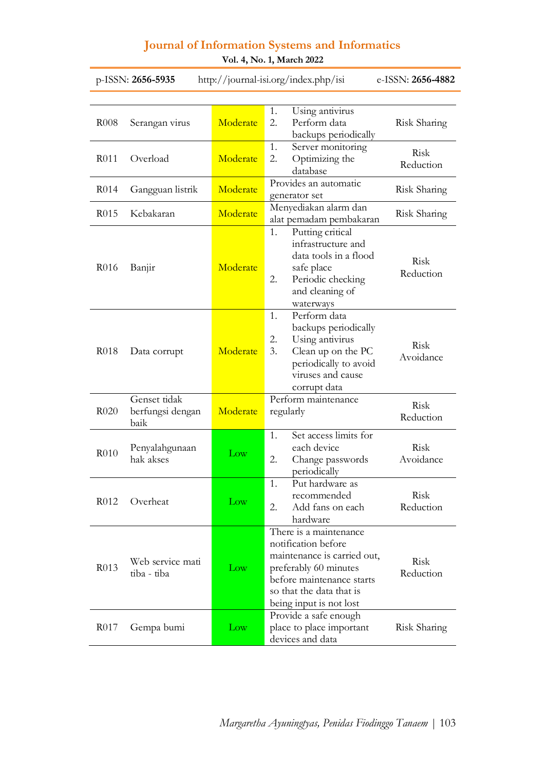| e-ISSN: 2656-4882<br>p-ISSN: 2656-5935<br>http://journal-isi.org/index.php/isi |                                          |                 |                                                                                                                                                                                           |                   |  |  |  |
|--------------------------------------------------------------------------------|------------------------------------------|-----------------|-------------------------------------------------------------------------------------------------------------------------------------------------------------------------------------------|-------------------|--|--|--|
|                                                                                |                                          |                 |                                                                                                                                                                                           |                   |  |  |  |
| R008                                                                           | Serangan virus                           | Moderate        | Using antivirus<br>1.<br>2.<br>Perform data<br>backups periodically                                                                                                                       | Risk Sharing      |  |  |  |
| R <sub>0</sub> 11                                                              | Overload                                 | Moderate        | 1.<br>Server monitoring<br>2.<br>Optimizing the<br>database                                                                                                                               | Risk<br>Reduction |  |  |  |
| R <sub>0</sub> 14                                                              | Gangguan listrik                         | Moderate        | Provides an automatic<br>generator set                                                                                                                                                    | Risk Sharing      |  |  |  |
| R <sub>0</sub> 15                                                              | Kebakaran                                | Moderate        | Menyediakan alarm dan<br>alat pemadam pembakaran                                                                                                                                          | Risk Sharing      |  |  |  |
| R <sub>0</sub> 16                                                              | Banjir                                   | Moderate        | 1.<br>Putting critical<br>infrastructure and<br>data tools in a flood<br>safe place<br>2.<br>Periodic checking<br>and cleaning of<br>waterways                                            | Risk<br>Reduction |  |  |  |
| R018                                                                           | Data corrupt                             | Moderate        | 1.<br>Perform data<br>backups periodically<br>2.<br>Using antivirus<br>3.<br>Clean up on the PC<br>periodically to avoid<br>viruses and cause<br>corrupt data                             | Risk<br>Avoidance |  |  |  |
| R <sub>0</sub> 20                                                              | Genset tidak<br>berfungsi dengan<br>baik | Moderate        | Perform maintenance<br>regularly                                                                                                                                                          | Risk<br>Reduction |  |  |  |
| R010                                                                           | Penyalahgunaan<br>hak akses              | $_{\text{Low}}$ | Set access limits for<br>1.<br>each device<br>2.<br>Change passwords<br>periodically                                                                                                      | Risk<br>Avoidance |  |  |  |
| R012                                                                           | Overheat                                 | $_{\text{Low}}$ | Put hardware as<br>1.<br>recommended<br>2.<br>Add fans on each<br>hardware                                                                                                                | Risk<br>Reduction |  |  |  |
| R <sub>0</sub> 13                                                              | Web service mati<br>tiba - tiba          | Low             | There is a maintenance<br>notification before<br>maintenance is carried out,<br>preferably 60 minutes<br>before maintenance starts<br>so that the data that is<br>being input is not lost | Risk<br>Reduction |  |  |  |
| R <sub>0</sub> 17                                                              | Gempa bumi                               | Low             | Provide a safe enough<br>place to place important<br>devices and data                                                                                                                     | Risk Sharing      |  |  |  |

**Vol. 4, No. 1, March 2022**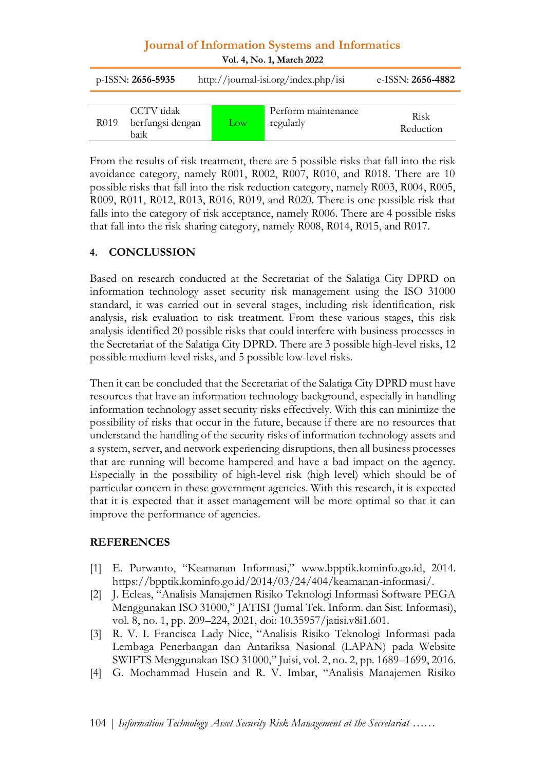| Vol. 4, No. 1, March 2022 |                                        |                 |                                      |                          |  |  |  |  |
|---------------------------|----------------------------------------|-----------------|--------------------------------------|--------------------------|--|--|--|--|
| p-ISSN: 2656-5935         |                                        |                 | http://journal-isi.org/index.php/isi | e-ISSN: 2656-4882        |  |  |  |  |
| R019                      | CCTV tidak<br>berfungsi dengan<br>baik | $_{\text{Low}}$ | Perform maintenance<br>regularly     | <b>Risk</b><br>Reduction |  |  |  |  |

From the results of risk treatment, there are 5 possible risks that fall into the risk avoidance category, namely R001, R002, R007, R010, and R018. There are 10 possible risks that fall into the risk reduction category, namely R003, R004, R005, R009, R011, R012, R013, R016, R019, and R020. There is one possible risk that falls into the category of risk acceptance, namely R006. There are 4 possible risks that fall into the risk sharing category, namely R008, R014, R015, and R017.

#### **4. CONCLUSSION**

Based on research conducted at the Secretariat of the Salatiga City DPRD on information technology asset security risk management using the ISO 31000 standard, it was carried out in several stages, including risk identification, risk analysis, risk evaluation to risk treatment. From these various stages, this risk analysis identified 20 possible risks that could interfere with business processes in the Secretariat of the Salatiga City DPRD. There are 3 possible high-level risks, 12 possible medium-level risks, and 5 possible low-level risks.

Then it can be concluded that the Secretariat of the Salatiga City DPRD must have resources that have an information technology background, especially in handling information technology asset security risks effectively. With this can minimize the possibility of risks that occur in the future, because if there are no resources that understand the handling of the security risks of information technology assets and a system, server, and network experiencing disruptions, then all business processes that are running will become hampered and have a bad impact on the agency. Especially in the possibility of high-level risk (high level) which should be of particular concern in these government agencies. With this research, it is expected that it is expected that it asset management will be more optimal so that it can improve the performance of agencies.

#### **REFERENCES**

- [1] E. Purwanto, "Keamanan Informasi," www.bpptik.kominfo.go.id, 2014. https://bpptik.kominfo.go.id/2014/03/24/404/keamanan-informasi/.
- [2] J. Ecleas, "Analisis Manajemen Risiko Teknologi Informasi Software PEGA Menggunakan ISO 31000," JATISI (Jurnal Tek. Inform. dan Sist. Informasi), vol. 8, no. 1, pp. 209–224, 2021, doi: 10.35957/jatisi.v8i1.601.
- [3] R. V. I. Francisca Lady Nice, "Analisis Risiko Teknologi Informasi pada Lembaga Penerbangan dan Antariksa Nasional (LAPAN) pada Website SWIFTS Menggunakan ISO 31000," Juisi, vol. 2, no. 2, pp. 1689–1699, 2016.
- [4] G. Mochammad Husein and R. V. Imbar, "Analisis Manajemen Risiko